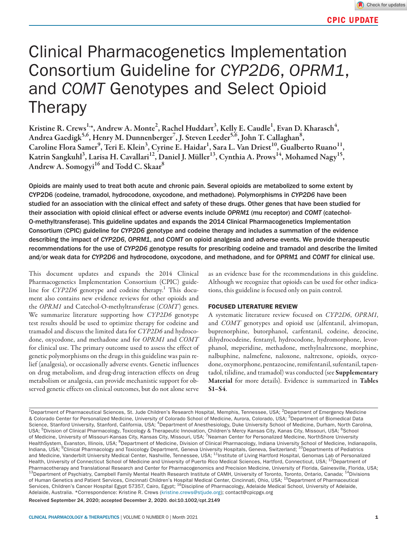## Check for updates CPIC UPDATE

# Clinical Pharmacogenetics Implementation Consortium Guideline for *CYP2D6*, *OPRM1*, and *COMT* Genotypes and Select Opioid **Therapy**

Kristine R. Crews<sup>1,</sup>\*, Andrew A. Monte<sup>2</sup>, Rachel Huddart<sup>3</sup>, Kelly E. Caudle<sup>1</sup>, Evan D. Kharasch<sup>4</sup>, Andrea Gaedigk<sup>5,6</sup>, Henry M. Dunnenberger<sup>7</sup>, J. Steven Leeder<sup>5,6</sup>, John T. Callaghan<sup>8</sup>, Caroline Flora Samer<sup>9</sup>, Teri E. Klein<sup>3</sup>, Cyrine E. Haidar<sup>1</sup>, Sara L. Van Driest<sup>10</sup>, Gualberto Ruano<sup>11</sup>, Katrin Sangkuhl<sup>3</sup>, Larisa H. Cavallari<sup>12</sup>, Daniel J. Müller<sup>13</sup>, Cynthia A. Prows<sup>14</sup>, Mohamed Nagy<sup>15</sup>, Andrew A. Somogyi<sup>16</sup> and Todd C. Skaar<sup>8</sup>

Opioids are mainly used to treat both acute and chronic pain. Several opioids are metabolized to some extent by CYP2D6 (codeine, tramadol, hydrocodone, oxycodone, and methadone). Polymorphisms in *CYP2D6* have been studied for an association with the clinical effect and safety of these drugs. Other genes that have been studied for their association with opioid clinical effect or adverse events include *OPRM1* (mu receptor) and *COMT* (catechol-O-methyltransferase). This guideline updates and expands the 2014 Clinical Pharmacogenetics Implementation Consortium (CPIC) guideline for *CYP2D6* genotype and codeine therapy and includes a summation of the evidence describing the impact of *CYP2D6*, *OPRM1*, and *COMT* on opioid analgesia and adverse events. We provide therapeutic recommendations for the use of *CYP2D6* genotype results for prescribing codeine and tramadol and describe the limited and/or weak data for *CYP2D6* and hydrocodone, oxycodone, and methadone, and for *OPRM1* and *COMT* for clinical use.

This document updates and expands the 2014 Clinical Pharmacogenetics Implementation Consortium (CPIC) guideline for *CYP2D6* genotype and codeine therapy.<sup>1</sup> This document also contains new evidence reviews for other opioids and the *OPRM1* and Catechol-O-methyltransferase (*COMT*) genes. We summarize literature supporting how *CYP2D6* genotype test results should be used to optimize therapy for codeine and tramadol and discuss the limited data for *CYP2D6* and hydrocodone, oxycodone, and methadone and for *OPRM1* and *COMT* for clinical use. The primary outcome used to assess the effect of genetic polymorphisms on the drugs in this guideline was pain relief (analgesia), or occasionally adverse events. Genetic influences on drug metabolism, and drug-drug interaction effects on drug metabolism or analgesia, can provide mechanistic support for observed genetic effects on clinical outcomes, but do not alone serve

as an evidence base for the recommendations in this guideline. Although we recognize that opioids can be used for other indications, this guideline is focused only on pain control.

#### FOCUSED LITERATURE REVIEW

A systematic literature review focused on *CYP2D6*, *OPRM1*, and *COMT* genotypes and opioid use (alfentanil, alvimopan, buprenorphine, butorphanol, carfentanil, codeine, dezocine, dihydrocodeine, fentanyl, hydrocodone, hydromorphone, levorphanol, meperidine, methadone, methylnaltrexone, morphine, nalbuphine, nalmefene, naloxone, naltrexone, opioids, oxycodone, oxymorphone, pentazocine, remifentanil, sufentanil, tapentadol, tilidine, and tramadol) was conducted (see **Supplementary** Material for more details). Evidence is summarized in Tables S1–S4.

<sup>&</sup>lt;sup>1</sup>Department of Pharmaceutical Sciences, St. Jude Children's Research Hospital, Memphis, Tennessee, USA; <sup>2</sup>Department of Emergency Medicine & Colorado Center for Personalized Medicine, University of Colorado School of Medicine, Aurora, Colorado, USA; <sup>3</sup>Department of Biomedical Data Science, Stanford University, Stanford, California, USA; <sup>4</sup>Department of Anesthesiology, Duke University School of Medicine, Durham, North Carolina, USA; <sup>5</sup>Division of Clinical Pharmacology, Toxicology & Therapeutic Innovation, Children's Mercy Kansas City, Kanas City, Missouri, USA; <sup>6</sup>School of Medicine, University of Missouri-Kansas City, Kansas City, Missouri, USA; <sup>7</sup>Neaman Center for Personalized Medicine, NorthShore University HealthSystem, Evanston, Illinois, USA; <sup>8</sup>Department of Medicine, Division of Clinical Pharmacology, Indiana University School of Medicine, Indianapolis, Indiana, USA; <sup>9</sup>Clinical Pharmacology and Toxicology Department, Geneva University Hospitals, Geneva, Switzerland; <sup>10</sup>Departments of Pediatrics and Medicine, Vanderbilt University Medical Center, Nashville, Tennessee, USA; <sup>11</sup>Institute of Living Hartford Hospital, Genomas Lab of Personalized Health, University of Connecticut School of Medicine and University of Puerto Rico Medical Sciences, Hartford, Connecticut, USA; <sup>12</sup>Department of Pharmacotherapy and Translational Research and Center for Pharmacogenomics and Precision Medicine, University of Florida, Gainesville, Florida, USA; <sup>13</sup>Department of Psychiatry, Campbell Family Mental Health Research Institute of CAMH, University of Toronto, Toronto, Ontario, Canada; <sup>14</sup>Divisions of Human Genetics and Patient Services, Cincinnati Children's Hospital Medical Center, Cincinnati, Ohio, USA; <sup>15</sup>Department of Pharmaceutical Services, Children's Cancer Hospital Egypt 57357, Cairo, Egypt; <sup>16</sup>Discipline of Pharmacology, Adelaide Medical School, University of Adelaide, Adelaide, Australia. \*Correspondence: Kristine R. Crews ([kristine.crews@stjude.org](mailto:kristine.crews@stjude.org)); contact@cpicpgx.org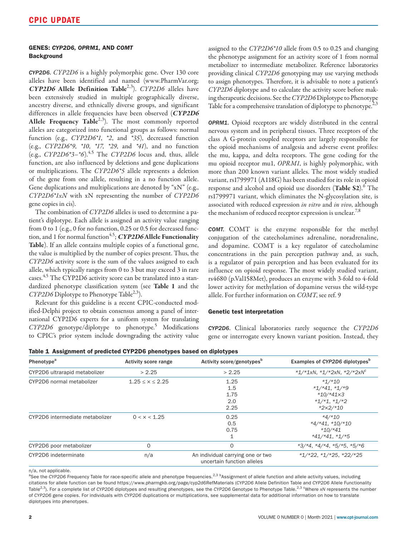#### GENES: *CYP2D6, OPRM1,* AND *COMT* **Background**

*CYP2D6*. *CYP2D6* is a highly polymorphic gene. Over 130 core alleles have been identified and named [\(www.PharmVar.org;](http://www.PharmVar.org) CYP2D6 Allele Definition Table<sup>2,3</sup>). *CYP2D6* alleles have been extensively studied in multiple geographically diverse, ancestry diverse, and ethnically diverse groups, and significant differences in allele frequencies have been observed (CYP2D6 Allele Frequency Table<sup>2,3</sup>). The most commonly reported alleles are categorized into functional groups as follows: normal function (e.g., *CYP2D6\*1*, *\*2*, and *\*35*), decreased function (e.g., *CYP2D6\*9*, *\*10*, *\*17*, *\*29*, and *\*41*), and no function (e.g., *CYP2D6\*3–\*6*).4,5 The *CYP2D6* locus and, thus, allele function, are also influenced by deletions and gene duplications or multiplications. The *CYP2D6\*5* allele represents a deletion of the gene from one allele, resulting in a no function allele. Gene duplications and multiplications are denoted by "xN" (e.g., *CYP2D6\*1xN* with xN representing the number of *CYP2D6* gene copies in cis).

The combination of *CYP2D6* alleles is used to determine a patient's diplotype. Each allele is assigned an activity value ranging from 0 to 1 (e.g., 0 for no function, 0.25 or 0.5 for decreased function, and 1 for normal function $^{4,5}$ ;  $\boldsymbol{CYP2D6}$  Allele Functionality Table). If an allele contains multiple copies of a functional gene, the value is multiplied by the number of copies present. Thus, the *CYP2D6* activity score is the sum of the values assigned to each allele, which typically ranges from 0 to 3 but may exceed 3 in rare cases.<sup>4,5</sup> The CYP2D6 activity score can be translated into a standardized phenotype classification system (see Table 1 and the *CYP2D6* Diplotype to Phenotype Table<sup>2,3</sup>).

Relevant for this guideline is a recent CPIC-conducted modified-Delphi project to obtain consensus among a panel of international CYP2D6 experts for a uniform system for translating *CYP2D6* genotype/diplotype to phenotype.5 Modifications to CPIC's prior system include downgrading the activity value assigned to the *CYP2D6\*10* allele from 0.5 to 0.25 and changing the phenotype assignment for an activity score of 1 from normal metabolizer to intermediate metabolizer. Reference laboratories providing clinical *CYP2D6* genotyping may use varying methods to assign phenotypes. Therefore, it is advisable to note a patient's *CYP2D6* diplotype and to calculate the activity score before making therapeutic decisions. See the *CYP2D6* Diplotype to Phenotype Table for a comprehensive translation of diplotype to phenotype.<sup>2,3</sup>

*OPRM1*. Opioid receptors are widely distributed in the central nervous system and in peripheral tissues. Three receptors of the class A G-protein coupled receptors are largely responsible for the opioid mechanisms of analgesia and adverse event profiles: the mu, kappa, and delta receptors. The gene coding for the mu opioid receptor mu1, *OPRM1*, is highly polymorphic, with more than 200 known variant alleles. The most widely studied variant, rs1799971 (A118G) has been studied for its role in opioid response and alcohol and opioid use disorders (Table S2).  $\rm ^6$  The rs1799971 variant, which eliminates the N-glycosylation site, is associated with reduced expression *in vitro* and *in vivo*, although the mechanism of reduced receptor expression is unclear.<sup>7,8</sup>

*COMT*. COMT is the enzyme responsible for the methyl conjugation of the catecholamines adrenaline, noradrenaline, and dopamine. COMT is a key regulator of catecholamine concentrations in the pain perception pathway and, as such, is a regulator of pain perception and has been evaluated for its influence on opioid response. The most widely studied variant, rs4680 (p.Val158Met), produces an enzyme with 3-fold to 4-fold lower activity for methylation of dopamine versus the wild-type allele. For further information on *COMT*, see ref. 9

#### Genetic test interpretation

*CYP2D6*. Clinical laboratories rarely sequence the *CYP2D6* gene or interrogate every known variant position. Instead, they

|  | Table 1 Assignment of predicted CYP2D6 phenotypes based on diplotypes |  |  |  |  |  |
|--|-----------------------------------------------------------------------|--|--|--|--|--|
|--|-----------------------------------------------------------------------|--|--|--|--|--|

| Phenotype <sup>a</sup>          | <b>Activity score range</b> | Activity score/genotypes <sup>b</sup>                           | Examples of CYP2D6 diplotypes <sup>b</sup> |
|---------------------------------|-----------------------------|-----------------------------------------------------------------|--------------------------------------------|
| CYP2D6 ultrarapid metabolizer   | > 2.25                      | > 2.25                                                          | *1/*1xN, *1/*2xN, *2/*2xN <sup>c</sup>     |
| CYP2D6 normal metabolizer       | 1.25 < x < 2.25             | 1.25                                                            | $*1/*10$                                   |
|                                 |                             | 1.5                                                             | $*1/*41$ , $*1/*9$                         |
|                                 |                             | 1.75                                                            | $*10/*41\times3$                           |
|                                 |                             | 2.0                                                             | $*1/*1$ , $*1/*2$                          |
|                                 |                             | 2.25                                                            | $*2 \times 2 / * 10$                       |
| CYP2D6 intermediate metabolizer | 0 < x < 1.25                | 0.25                                                            | $*4/*10$                                   |
|                                 |                             | 0.5                                                             | $*4/*41$ , $*10/*10$                       |
|                                 |                             | 0.75                                                            | $*10/*41$                                  |
|                                 |                             |                                                                 | $*41/*41$ , $*1/*5$                        |
| CYP2D6 poor metabolizer         | $\Omega$                    | $\Omega$                                                        | $*3$ /*4, *4/*4, *5/*5, *5/*6              |
| CYP2D6 indeterminate            | n/a                         | An individual carrying one or two<br>uncertain function alleles | $*1/*22$ , $*1/*25$ , $*22/*25$            |

n/a, not applicable.

<sup>a</sup>See the CYP2D6 Frequency Table for race-specific allele and phenotype frequencies.<sup>2,3 b</sup>Assignment of allele function and allele activity values, including citations for allele function can be found<https://www.pharmgkb.org/page/cyp2d6RefMaterials> (*CYP2D6* Allele Definition Table and *CYP2D6* Allele Functionality Table<sup>2,3</sup>). For a complete list of *CYP2D6* diplotypes and resulting phenotypes, see the *CYP2D6* Genotype to Phenotype Table.<sup>2,3 c</sup>Where *xN* represents the number of *CYP2D6* gene copies. For individuals with *CYP2D6* duplications or multiplications, see supplemental data for additional information on how to translate diplotypes into phenotypes.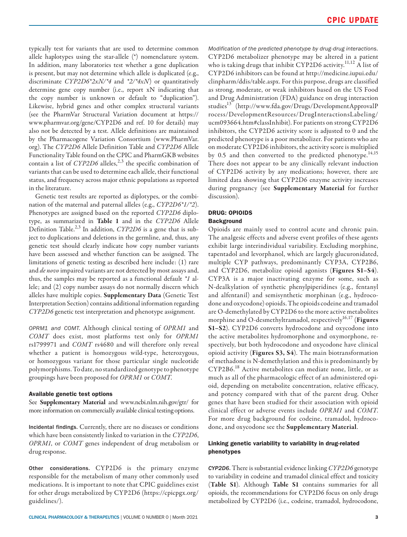typically test for variants that are used to determine common allele haplotypes using the star-allele (\*) nomenclature system. In addition, many laboratories test whether a gene duplication is present, but may not determine which allele is duplicated (e.g., discriminate *CYP2D6\*2xN/\*4* and *\*2/\*4xN*) or quantitatively determine gene copy number (i.e., report xN indicating that the copy number is unknown or default to "duplication"). Likewise, hybrid genes and other complex structural variants (see the PharmVar Structural Variation document at [https://](https://www.pharmvar.org/gene/CYP2D6) [www.pharmvar.org/gene/CYP2D6](https://www.pharmvar.org/gene/CYP2D6) and ref. 10 for details) may also not be detected by a test. Allele definitions are maintained by the Pharmacogene Variation Consortium [\(www.PharmVar.](http://www.PharmVar.org) [org\)](http://www.PharmVar.org). The *CYP2D6* Allele Definition Table and *CYP2D6* Allele Functionality Table found on the CPIC and PharmGKB websites contain a list of  $CYP2D6$  alleles,<sup>2,3</sup> the specific combination of variants that can be used to determine each allele, their functional status, and frequency across major ethnic populations as reported in the literature.

Genetic test results are reported as diplotypes, or the combination of the maternal and paternal alleles (e.g., *CYP2D6\*1/\*2*). Phenotypes are assigned based on the reported *CYP2D6* diplotype, as summarized in Table 1 and in the *CYP2D6* Allele Definition Table.<sup>2,3</sup> In addition, *CYP2D6* is a gene that is subject to duplications and deletions in the germline, and, thus, any genetic test should clearly indicate how copy number variants have been assessed and whether function can be assigned. The limitations of genetic testing as described here include: (1) rare and *de novo* impaired variants are not detected by most assays and, thus, the samples may be reported as a functional default *\*1* allele; and (2) copy number assays do not normally discern which alleles have multiple copies. Supplementary Data (Genetic Test Interpretation Section) contains additional information regarding *CYP2D6* genetic test interpretation and phenotype assignment.

*OPRM1 and COMT.* Although clinical testing of *OPRM1* and *COMT* does exist, most platforms test only for *OPRM1* rs1799971 and *COMT* rs4680 and will therefore only reveal whether a patient is homozygous wild-type, heterozygous, or homozygous variant for those particular single nucleotide polymorphisms. To date, no standardized genotype to phenotype groupings have been proposed for *OPRM1* or *COMT*.

#### Available genetic test options

See Supplementary Material and [www.ncbi.nlm.nih.gov/gtr/](http://www.ncbi.nlm.nih.gov/gtr/) for more information on commercially available clinical testing options.

Incidental findings. Currently, there are no diseases or conditions which have been consistently linked to variation in the *CYP2D6*, *OPRM1*, or *COMT* genes independent of drug metabolism or drug response.

Other considerations. CYP2D6 is the primary enzyme responsible for the metabolism of many other commonly used medications. It is important to note that CPIC guidelines exist for other drugs metabolized by CYP2D6 [\(https://cpicpgx.org/](https://cpicpgx.org/guidelines/) [guidelines/](https://cpicpgx.org/guidelines/)).

*Modification of the predicted phenotype by drug-drug interactions.* CYP2D6 metabolizer phenotype may be altered in a patient who is taking drugs that inhibit CYP2D6 activity.<sup>11,12</sup> A list of CYP2D6 inhibitors can be found at [http://medicine.iupui.edu/](http://medicine.iupui.edu/clinpharm/ddis/table.aspx) [clinpharm/ddis/table.aspx](http://medicine.iupui.edu/clinpharm/ddis/table.aspx). For this purpose, drugs are classified as strong, moderate, or weak inhibitors based on the US Food and Drug Administration (FDA) guidance on drug interaction studies<sup>13</sup> ([http://www.fda.gov/Drugs/DevelopmentApprovalP](http://www.fda.gov/Drugs/DevelopmentApprovalProcess/DevelopmentResources/DrugInteractionsLabeling/ucm093664.htm#classInhibit) [rocess/DevelopmentResources/DrugInteractionsLabeling/](http://www.fda.gov/Drugs/DevelopmentApprovalProcess/DevelopmentResources/DrugInteractionsLabeling/ucm093664.htm#classInhibit) [ucm093664.htm#classInhibit\)](http://www.fda.gov/Drugs/DevelopmentApprovalProcess/DevelopmentResources/DrugInteractionsLabeling/ucm093664.htm#classInhibit). For patients on strong CYP2D6 inhibitors, the CYP2D6 activity score is adjusted to 0 and the predicted phenotype is a poor metabolizer. For patients who are on moderate CYP2D6 inhibitors, the activity score is multiplied by 0.5 and then converted to the predicted phenotype.14,15 There does not appear to be any clinically relevant induction of CYP2D6 activity by any medications; however, there are limited data showing that CYP2D6 enzyme activity increases during pregnancy (see Supplementary Material for further discussion).

### DRUG: OPIOIDS

#### **Background**

Opioids are mainly used to control acute and chronic pain. The analgesic effects and adverse event profiles of these agents exhibit large interindividual variability. Excluding morphine, tapentadol and levorphanol, which are largely glucuronidated, multiple CYP pathways, predominantly CYP3A, CYP2B6, and CYP2D6, metabolize opioid agonists (Figures S1–S4). CYP3A is a major inactivating enzyme for some, such as N-dealkylation of synthetic phenylpiperidines (e.g., fentanyl and alfentanil) and semisynthetic morphinan (e.g., hydrocodone and oxycodone) opioids. The opioids codeine and tramadol are O-demethylated by CYP2D6 to the more active metabolites morphine and O-desmethyltramadol, respectively $^{16,17}$  (**Figures** S1–S2). CYP2D6 converts hydrocodone and oxycodone into the active metabolites hydromorphone and oxymorphone, respectively, but both hydrocodone and oxycodone have clinical opioid activity (Figures S3, S4). The main biotransformation of methadone is N-demethylation and this is predominantly by CYP2B6.18 Active metabolites can mediate none, little, or as much as all of the pharmacologic effect of an administered opioid, depending on metabolite concentration, relative efficacy, and potency compared with that of the parent drug. Other genes that have been studied for their association with opioid clinical effect or adverse events include *OPRM1* and *COMT*. For more drug background for codeine, tramadol, hydrocodone, and oxycodone see the Supplementary Material.

#### Linking genetic variability to variability in drug-related phenotypes

*CYP2D6*. There is substantial evidence linking *CYP2D6* genotype to variability in codeine and tramadol clinical effect and toxicity (Table S1). Although Table S1 contains summaries for all opioids, the recommendations for CYP2D6 focus on only drugs metabolized by CYP2D6 (i.e., codeine, tramadol, hydrocodone,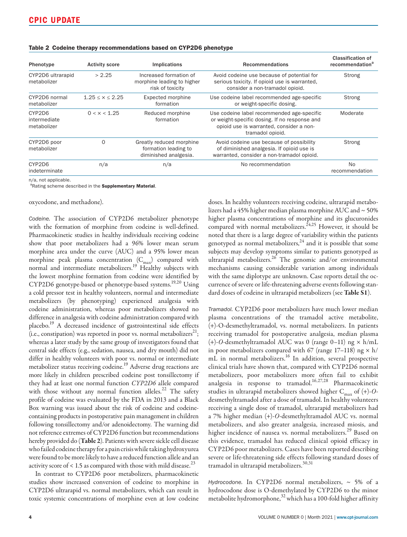| Phenotype                             | <b>Activity score</b> | Implications                                                              | <b>Recommendations</b>                                                                                                                                      | <b>Classification of</b><br>recommendation <sup>a</sup> |
|---------------------------------------|-----------------------|---------------------------------------------------------------------------|-------------------------------------------------------------------------------------------------------------------------------------------------------------|---------------------------------------------------------|
| CYP2D6 ultrarapid<br>metabolizer      | > 2.25                | Increased formation of<br>morphine leading to higher<br>risk of toxicity  | Avoid codeine use because of potential for<br>serious toxicity. If opioid use is warranted,<br>consider a non-tramadol opioid.                              | Strong                                                  |
| CYP2D6 normal<br>metabolizer          | 1.25 < x < 2.25       | Expected morphine<br>formation                                            | Use codeine label recommended age-specific<br>or weight-specific dosing.                                                                                    | Strong                                                  |
| CYP2D6<br>intermediate<br>metabolizer | 0 < x < 1.25          | Reduced morphine<br>formation                                             | Use codeine label recommended age-specific<br>or weight-specific dosing. If no response and<br>opioid use is warranted, consider a non-<br>tramadol opioid. | Moderate                                                |
| CYP2D6 poor<br>metabolizer            | $\Omega$              | Greatly reduced morphine<br>formation leading to<br>diminished analgesia. | Avoid codeine use because of possibility<br>of diminished analgesia. If opioid use is<br>warranted, consider a non-tramadol opioid.                         | Strong                                                  |
| CYP2D6<br>indeterminate               | n/a                   | n/a                                                                       | No recommendation                                                                                                                                           | <b>No</b><br>recommendation                             |

|  |  |  | Table 2 Codeine therapy recommendations based on CYP2D6 phenotype |  |  |  |
|--|--|--|-------------------------------------------------------------------|--|--|--|
|--|--|--|-------------------------------------------------------------------|--|--|--|

n/a, not applicable.

<sup>a</sup>Rating scheme described in the **Supplementary Material**.

#### oxycodone, and methadone).

*Codeine.* The association of CYP2D6 metabolizer phenotype with the formation of morphine from codeine is well-defined. Pharmacokinetic studies in healthy individuals receiving codeine show that poor metabolizers had a 96% lower mean serum morphine area under the curve (AUC) and a 95% lower mean morphine peak plasma concentration  $(C_{max})$  compared with normal and intermediate metabolizers.<sup>19</sup> Healthy subjects with the lowest morphine formation from codeine were identified by CYP2D6 genotype-based or phenotype-based systems.19,20 Using a cold pressor test in healthy volunteers, normal and intermediate metabolizers (by phenotyping) experienced analgesia with codeine administration, whereas poor metabolizers showed no difference in analgesia with codeine administration compared with placebo.<sup>19</sup> A decreased incidence of gastrointestinal side effects (i.e., constipation) was reported in poor vs. normal metabolizers<sup>21</sup>; whereas a later study by the same group of investigators found that central side effects (e.g., sedation, nausea, and dry mouth) did not differ in healthy volunteers with poor vs. normal or intermediate metabolizer status receiving codeine.19 Adverse drug reactions are more likely in children prescribed codeine post tonsillectomy if they had at least one normal function *CYP2D6* allele compared with those without any normal function alleles.<sup>22</sup> The safety profile of codeine was evaluated by the FDA in 2013 and a Black Box warning was issued about the risk of codeine and codeinecontaining products in postoperative pain management in children following tonsillectomy and/or adenoidectomy. The warning did not reference extremes of CYP2D6 function but recommendations hereby provided do (Table 2). Patients with severe sickle cell disease who failed codeine therapy for a pain crisis while taking hydroxyurea were found to be more likely to have a reduced function allele and an activity score of  $< 1.5$  as compared with those with mild disease.<sup>23</sup>

In contrast to CYP2D6 poor metabolizers, pharmacokinetic studies show increased conversion of codeine to morphine in CYP2D6 ultrarapid vs. normal metabolizers, which can result in toxic systemic concentrations of morphine even at low codeine

doses. In healthy volunteers receiving codeine, ultrarapid metabolizers had a 45% higher median plasma morphine AUC and ~ 50% higher plasma concentrations of morphine and its glucuronides compared with normal metabolizers.<sup> $24,25$ </sup> However, it should be noted that there is a large degree of variability within the patients genotyped as normal metabolizers, $^{24}$  and it is possible that some subjects may develop symptoms similar to patients genotyped as ultrarapid metabolizers.26 The genomic and/or environmental mechanisms causing considerable variation among individuals with the same diplotype are unknown. Case reports detail the occurrence of severe or life-threatening adverse events following standard doses of codeine in ultrarapid metabolizers (see Table S1).

*Tramadol.* CYP2D6 poor metabolizers have much lower median plasma concentrations of the tramadol active metabolite, (+)-O-desmethyltramadol, vs. normal metabolizers. In patients receiving tramadol for postoperative analgesia, median plasma (+)-*O*-desmethyltramadol AUC was 0 (range 0–11) ng × h/mL in poor metabolizers compared with 67 (range 17-118) ng  $\times$  h/ mL in normal metabolizers.<sup>16</sup> In addition, several prospective clinical trials have shown that, compared with CYP2D6 normal metabolizers, poor metabolizers more often fail to exhibit analgesia in response to tramadol.<sup>16,27,28</sup> Pharmacokinetic studies in ultrarapid metabolizers showed higher  $C_{\text{max}}$  of  $(+)$ -Odesmethyltramadol after a dose of tramadol. In healthy volunteers receiving a single dose of tramadol, ultrarapid metabolizers had a 7% higher median (+)-*O*-desmethyltramadol AUC vs. normal metabolizers, and also greater analgesia, increased miosis, and higher incidence of nausea vs. normal metabolizers.<sup>29</sup> Based on this evidence, tramadol has reduced clinical opioid efficacy in CYP2D6 poor metabolizers. Cases have been reported describing severe or life-threatening side effects following standard doses of tramadol in ultrarapid metabolizers. $^{\rm 30,31}$ 

*Hydrocodone.* In CYP2D6 normal metabolizers, ~ 5% of a hydrocodone dose is O-demethylated by CYP2D6 to the minor metabolite hydromorphone, $^{32}$  which has a 100-fold higher affinity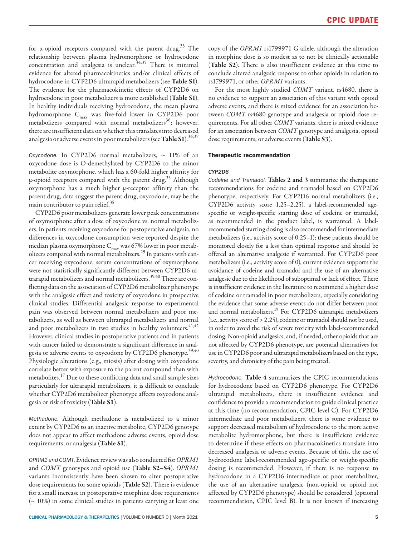for  $\mu$ -opioid receptors compared with the parent drug.<sup>33</sup> The relationship between plasma hydromorphone or hydrocodone concentration and analgesia is unclear.<sup>34,35</sup> There is minimal evidence for altered pharmacokinetics and/or clinical effects of hydrocodone in CYP2D6 ultrarapid metabolizers (see Table S1). The evidence for the pharmacokinetic effects of CYP2D6 on hydrocodone in poor metabolizers is more established (Table S1). In healthy individuals receiving hydrocodone, the mean plasma hydromorphone  $C_{\text{max}}$  was five-fold lower in CYP2D6 poor metabolizers compared with normal metabolizers<sup>36</sup>; however, there are insufficient data on whether this translates into decreased analgesia or adverse events in poor metabolizers (see Table S1).  $36,37$ 

*Oxycodone.* In CYP2D6 normal metabolizers,  $\sim$  11% of an oxycodone dose is O-demethylated by CYP2D6 to the minor metabolite oxymorphone, which has a 60-fold higher affinity for  $\mu$ -opioid receptors compared with the parent drug.<sup>33</sup> Although oxymorphone has a much higher µ-receptor affinity than the parent drug, data suggest the parent drug, oxycodone, may be the main contributor to pain relief.<sup>38</sup>

CYP2D6 poor metabolizers generate lower peak concentrations of oxymorphone after a dose of oxycodone vs. normal metabolizers. In patients receiving oxycodone for postoperative analgesia, no differences in oxycodone consumption were reported despite the median plasma oxymorphone  $C_{\text{max}}$  was 67% lower in poor metabolizers compared with normal metabolizers.29 In patients with cancer receiving oxycodone, serum concentrations of oxymorphone were not statistically significantly different between CYP2D6 ultrarapid metabolizers and normal metabolizers.<sup>39,40</sup> There are conflicting data on the association of CYP2D6 metabolizer phenotype with the analgesic effect and toxicity of oxycodone in prospective clinical studies. Differential analgesic response to experimental pain was observed between normal metabolizers and poor metabolizers, as well as between ultrarapid metabolizers and normal and poor metabolizers in two studies in healthy volunteers.<sup>41,42</sup> However, clinical studies in postoperative patients and in patients with cancer failed to demonstrate a significant difference in analgesia or adverse events to oxycodone by CYP2D6 phenotype.<sup>39,40</sup> Physiologic alterations (e.g., miosis) after dosing with oxycodone correlate better with exposure to the parent compound than with metabolites.17 Due to these conflicting data and small sample sizes particularly for ultrarapid metabolizers, it is difficult to conclude whether CYP2D6 metabolizer phenotype affects oxycodone analgesia or risk of toxicity (Table S1).

*Methadone.* Although methadone is metabolized to a minor extent by CYP2D6 to an inactive metabolite, CYP2D6 genotype does not appear to affect methadone adverse events, opioid dose requirements, or analgesia (Table S1).

*OPRM1 and COMT.* Evidence review was also conducted for *OPRM1* and *COMT* genotypes and opioid use (Table S2–S4). *OPRM1* variants inconsistently have been shown to alter postoperative dose requirements for some opioids (Table S2). There is evidence for a small increase in postoperative morphine dose requirements (~ 10%) in some clinical studies in patients carrying at least one copy of the *OPRM1* rs1799971 G allele, although the alteration in morphine dose is so modest as to not be clinically actionable (Table S2). There is also insufficient evidence at this time to conclude altered analgesic response to other opioids in relation to rs1799971, or other *OPRM1* variants.

For the most highly studied *COMT* variant, rs4680, there is no evidence to support an association of this variant with opioid adverse events, and there is mixed evidence for an association between *COMT* rs4680 genotype and analgesia or opioid dose requirements. For all other *COMT* variants, there is mixed evidence for an association between *COMT* genotype and analgesia, opioid dose requirements, or adverse events (Table S3).

#### Therapeutic recommendation

#### *CYP2D6*

*Codeine and Tramadol.* Tables 2 and 3 summarize the therapeutic recommendations for codeine and tramadol based on CYP2D6 phenotype, respectively. For CYP2D6 normal metabolizers (i.e., CYP2D6 activity score 1.25–2.25), a label-recommended agespecific or weight-specific starting dose of codeine or tramadol, as recommended in the product label, is warranted. A labelrecommended starting dosing is also recommended for intermediate metabolizers (i.e., activity score of 0.25–1); these patients should be monitored closely for a less than optimal response and should be offered an alternative analgesic if warranted. For CYP2D6 poor metabolizers (i.e., activity score of 0), current evidence supports the avoidance of codeine and tramadol and the use of an alternative analgesic due to the likelihood of suboptimal or lack of effect. There is insufficient evidence in the literature to recommend a higher dose of codeine or tramadol in poor metabolizers, especially considering the evidence that some adverse events do not differ between poor and normal metabolizers.<sup>19</sup> For CYP2D6 ultrarapid metabolizers (i.e., activity score of > 2.25), codeine or tramadol should not be used, in order to avoid the risk of severe toxicity with label-recommended dosing. Non-opioid analgesics, and, if needed, other opioids that are not affected by CYP2D6 phenotype, are potential alternatives for use in CYP2D6 poor and ultrarapid metabolizers based on the type, severity, and chronicity of the pain being treated.

*Hydrocodone.* Table 4 summarizes the CPIC recommendations for hydrocodone based on CYP2D6 phenotype. For CYP2D6 ultrarapid metabolizers, there is insufficient evidence and confidence to provide a recommendation to guide clinical practice at this time (no recommendation, CPIC level C). For CYP2D6 intermediate and poor metabolizers, there is some evidence to support decreased metabolism of hydrocodone to the more active metabolite hydromorphone, but there is insufficient evidence to determine if these effects on pharmacokinetics translate into decreased analgesia or adverse events. Because of this, the use of hydrocodone label-recommended age-specific or weight-specific dosing is recommended. However, if there is no response to hydrocodone in a CYP2D6 intermediate or poor metabolizer, the use of an alternative analgesic (non-opioid or opioid not affected by CYP2D6 phenotype) should be considered (optional recommendation, CPIC level B). It is not known if increasing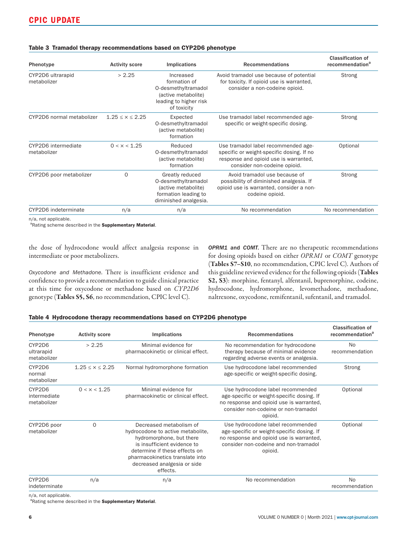| Phenotype                          | <b>Activity score</b> | Implications                                                                                                     | <b>Recommendations</b>                                                                                                                                    | <b>Classification of</b><br>recommendation <sup>a</sup> |
|------------------------------------|-----------------------|------------------------------------------------------------------------------------------------------------------|-----------------------------------------------------------------------------------------------------------------------------------------------------------|---------------------------------------------------------|
| CYP2D6 ultrarapid<br>metabolizer   | > 2.25                | Increased<br>formation of<br>O-desmethyltramadol<br>(active metabolite)<br>leading to higher risk<br>of toxicity | Avoid tramadol use because of potential<br>for toxicity. If opioid use is warranted,<br>consider a non-codeine opioid.                                    | Strong                                                  |
| CYP2D6 normal metabolizer          | 1.25 < x < 2.25       | Expected<br>O-desmethyltramadol<br>(active metabolite)<br>formation                                              | Use tramadol label recommended age-<br>specific or weight-specific dosing.                                                                                | Strong                                                  |
| CYP2D6 intermediate<br>metabolizer | 0 < x < 1.25          | Reduced<br>O-desmethyltramadol<br>(active metabolite)<br>formation                                               | Use tramadol label recommended age-<br>specific or weight-specific dosing. If no<br>response and opioid use is warranted,<br>consider non-codeine opioid. | Optional                                                |
| CYP2D6 poor metabolizer            | $\Omega$              | Greatly reduced<br>O-desmethyltramadol<br>(active metabolite)<br>formation leading to<br>diminished analgesia.   | Avoid tramadol use because of<br>possibility of diminished analgesia. If<br>opioid use is warranted, consider a non-<br>codeine opioid.                   | Strong                                                  |
| CYP2D6 indeterminate               | n/a                   | n/a                                                                                                              | No recommendation                                                                                                                                         | No recommendation                                       |
|                                    |                       |                                                                                                                  |                                                                                                                                                           |                                                         |

#### Table 3 Tramadol therapy recommendations based on CYP2D6 phenotype

n/a, not applicable.

<sup>a</sup>Rating scheme described in the **Supplementary Material**.

the dose of hydrocodone would affect analgesia response in intermediate or poor metabolizers.

*Oxycodone and Methadone.* There is insufficient evidence and confidence to provide a recommendation to guide clinical practice at this time for oxycodone or methadone based on *CYP2D6* genotype (Tables S5, S6, no recommendation, CPIC level C).

*OPRM1* and *COMT*. There are no therapeutic recommendations for dosing opioids based on either *OPRM1* or *COMT* genotype (Tables S7–S10, no recommendation, CPIC level C). Authors of this guideline reviewed evidence for the following opioids (Tables S2, S3): morphine, fentanyl, alfentanil, buprenorphine, codeine, hydrocodone, hydromorphone, levomethadone, methadone, naltrexone, oxycodone, remifentanil, sufentanil, and tramadol.

#### Table 4 Hydrocodone therapy recommendations based on CYP2D6 phenotype

| Phenotype                             | <b>Activity score</b> | Implications                                                                                                                                                                                                                           | <b>Recommendations</b>                                                                                                                                                          | <b>Classification of</b><br>recommendation <sup>a</sup> |
|---------------------------------------|-----------------------|----------------------------------------------------------------------------------------------------------------------------------------------------------------------------------------------------------------------------------------|---------------------------------------------------------------------------------------------------------------------------------------------------------------------------------|---------------------------------------------------------|
| CYP2D6<br>ultrarapid<br>metabolizer   | > 2.25                | Minimal evidence for<br>pharmacokinetic or clinical effect.                                                                                                                                                                            | No recommendation for hydrocodone<br>therapy because of minimal evidence<br>regarding adverse events or analgesia.                                                              | <b>No</b><br>recommendation                             |
| CYP2D6<br>normal<br>metabolizer       | 1.25 < x < 2.25       | Normal hydromorphone formation                                                                                                                                                                                                         | Use hydrocodone label recommended<br>age-specific or weight-specific dosing.                                                                                                    | Strong                                                  |
| CYP2D6<br>intermediate<br>metabolizer | 0 < x < 1.25          | Minimal evidence for<br>pharmacokinetic or clinical effect.                                                                                                                                                                            | Use hydrocodone label recommended<br>age-specific or weight-specific dosing. If<br>no response and opioid use is warranted.<br>consider non-codeine or non-tramadol<br>opioid.  | Optional                                                |
| CYP2D6 poor<br>metabolizer            | $\mathbf{O}$          | Decreased metabolism of<br>hydrocodone to active metabolite,<br>hydromorphone, but there<br>is insufficient evidence to<br>determine if these effects on<br>pharmacokinetics translate into<br>decreased analgesia or side<br>effects. | Use hydrocodone label recommended<br>age-specific or weight-specific dosing. If<br>no response and opioid use is warranted,<br>consider non-codeine and non-tramadol<br>opioid. | Optional                                                |
| CYP2D6<br>indeterminate               | n/a                   | n/a                                                                                                                                                                                                                                    | No recommendation                                                                                                                                                               | <b>No</b><br>recommendation                             |

n/a, not applicable.

<sup>a</sup>Rating scheme described in the Supplementary Material.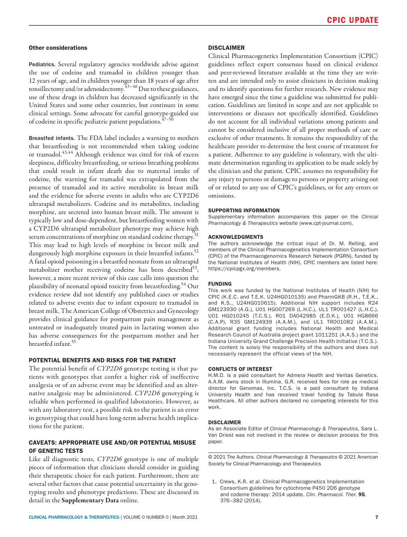#### Other considerations

Pediatrics. Several regulatory agencies worldwide advise against the use of codeine and tramadol in children younger than 12 years of age, and in children younger than 18 years of age after tonsillectomy and/or adenoidectomy.43–46 Due to these guidances, use of these drugs in children has decreased significantly in the United States and some other countries, but continues in some clinical settings. Some advocate for careful genotype-guided use of codeine in specific pediatric patient populations.<sup>4</sup>

Breastfed infants. The FDA label includes a warning to mothers that breastfeeding is not recommended when taking codeine or tramadol.<sup>43,44</sup> Although evidence was cited for risk of excess sleepiness, difficulty breastfeeding, or serious breathing problems that could result in infant death due to maternal intake of codeine, the warning for tramadol was extrapolated from the presence of tramadol and its active metabolite in breast milk and the evidence for adverse events in adults who are CYP2D6 ultrarapid metabolizers. Codeine and its metabolites, including morphine, are secreted into human breast milk. The amount is typically low and dose-dependent, but breastfeeding women with a CYP2D6 ultrarapid metabolizer phenotype may achieve high serum concentrations of morphine on standard codeine therapy.<sup>51</sup> This may lead to high levels of morphine in breast milk and dangerously high morphine exposure in their breastfed infants.<sup>52</sup> A fatal opioid poisoning in a breastfed neonate from an ultrarapid metabolizer mother receiving codeine has been described<sup>53</sup>; however, a more recent review of this case calls into question the plausibility of neonatal opioid toxicity from breastfeeding.<sup>54</sup> Our evidence review did not identify any published cases or studies related to adverse events due to infant exposure to tramadol in breast milk. The American College of Obstetrics and Gynecology provides clinical guidance for postpartum pain management as untreated or inadequately treated pain in lactating women also has adverse consequences for the postpartum mother and her breastfed infant.<sup>55</sup>

#### POTENTIAL BENEFITS AND RISKS FOR THE PATIENT

The potential benefit of *CYP2D6* genotype testing is that patients with genotypes that confer a higher risk of ineffective analgesia or of an adverse event may be identified and an alternative analgesic may be administered. *CYP2D6* genotyping is reliable when performed in qualified laboratories. However, as with any laboratory test, a possible risk to the patient is an error in genotyping that could have long-term adverse health implications for the patient.

#### CAVEATS: APPROPRIATE USE AND/OR POTENTIAL MISUSE OF GENETIC TESTS

Like all diagnostic tests, *CYP2D6* genotype is one of multiple pieces of information that clinicians should consider in guiding their therapeutic choice for each patient. Furthermore, there are several other factors that cause potential uncertainty in the genotyping results and phenotype predictions. These are discussed in detail in the Supplementary Data online.

Clinical Pharmacogenetics Implementation Consortium (CPIC) guidelines reflect expert consensus based on clinical evidence and peer-reviewed literature available at the time they are written and are intended only to assist clinicians in decision making and to identify questions for further research. New evidence may have emerged since the time a guideline was submitted for publication. Guidelines are limited in scope and are not applicable to interventions or diseases not specifically identified. Guidelines do not account for all individual variations among patients and cannot be considered inclusive of all proper methods of care or exclusive of other treatments. It remains the responsibility of the healthcare provider to determine the best course of treatment for a patient. Adherence to any guideline is voluntary, with the ultimate determination regarding its application to be made solely by the clinician and the patient. CPIC assumes no responsibility for any injury to persons or damage to persons or property arising out of or related to any use of CPIC's guidelines, or for any errors or omissions.

#### SUPPORTING INFORMATION

Supplementary information accompanies this paper on the *Clinical Pharmacology & Therapeutics* website (www.cpt-journal.com).

#### ACKNOWLEDGMENTS

The authors acknowledge the critical input of Dr. M. Relling, and members of the Clinical Pharmacogenetics Implementation Consortium (CPIC) of the Pharmacogenomics Research Network (PGRN), funded by the National Institutes of Health (NIH). CPIC members are listed here: [https://cpicpgx.org/members.](https://cpicpgx.org/members)

#### FUNDING

This work was funded by the National Institutes of Health (NIH) for CPIC (K.E.C. and T.E.K. U24HG010135) and PharmGKB (R.H., T.E.K., and K.S., U24HG010615). Additional NIH support includes R24 GM123930 (A.G.), U01 HG007269 (L.H.C.), UL1 TR001427 (L.H.C.), U01 HG010245 (T.C.S.), R01 DA042985 (E.D.K.), U01 HG8666 (C.A.P), R35 GM124939 (A.A.M.), and UL1 TR001082 (A.A.M.). Additional grant funding includes National Health and Medical Research Council of Australia project grant 1011251 (A.A.S.) and the Indiana University Grand Challenge Precision Health Initiative (T.C.S.). The content is solely the responsibility of the authors and does not necessarily represent the official views of the NIH.

#### CONFLICTS OF INTEREST

H.M.D. is a paid consultant for Admera Health and Veritas Genetics. A.A.M. owns stock in Illumina. G.R. received fees for role as medical director for Genomas, Inc. T.C.S. is a paid consultant by Indiana University Health and has received travel funding by Tabula Rasa Healthcare. All other authors declared no competing interests for this work.

#### DISCLAIMER

As an Associate Editor of *Clinical Pharmacology & Therapeutics*, Sara L. Van Driest was not involved in the review or decision process for this paper.

© 2021 The Authors. *Clinical Pharmacology & Therapeutics* © 2021 American Society for Clinical Pharmacology and Therapeutics

1. Crews, K.R. *et al*. Clinical Pharmacogenetics Implementation Consortium guidelines for cytochrome P450 2D6 genotype and codeine therapy: 2014 update. *Clin. Pharmacol. Ther.* 95, 376–382 (2014).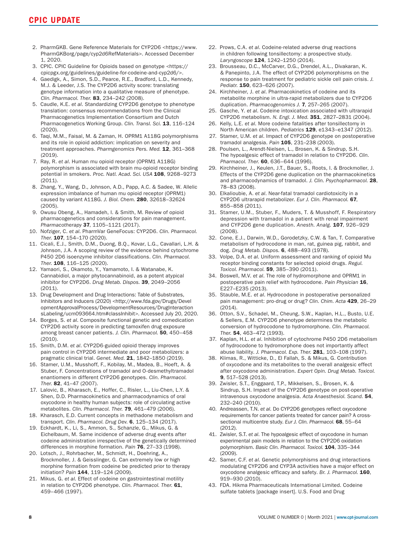- 2. PharmGKB. Gene Reference Materials for CYP2D6 <[https://www.](https://www.PharmGKBorg/page/cyp2d6RefMaterials) [PharmGKBorg/page/cyp2d6RefMaterials>](https://www.PharmGKBorg/page/cyp2d6RefMaterials). Accessed December 1, 2020.
- 3. CPIC. CPIC Guideline for Opioids based on genotype [<https://](https://cpicpgx.org/guidelines/guideline-for-codeine-and-cyp2d6/) [cpicpgx.org/guidelines/guideline-for-codeine-and-cyp2d6/](https://cpicpgx.org/guidelines/guideline-for-codeine-and-cyp2d6/)>.
- 4. Gaedigk, A., Simon, S.D., Pearce, R.E., Bradford, L.D., Kennedy, M.J. & Leeder, J.S. The CYP2D6 activity score: translating genotype information into a qualitative measure of phenotype. *Clin. Pharmacol. Ther.* 83, 234–242 (2008).
- 5. Caudle, K.E. *et al*. Standardizing CYP2D6 genotype to phenotype translation: consensus recommendations from the Clinical Pharmacogenetics Implementation Consortium and Dutch Pharmacogenetics Working Group. Clin. Transl. Sci. 13, 116-124 (2020).
- 6. Taqi, M.M., Faisal, M. & Zaman, H. OPRM1 A118G polymorphisms and its role in opioid addiction: implication on severity and treatment approaches. *Pharmgenomics Pers. Med.* 12, 361–368 (2019).
- 7. Ray, R. *et al*. Human mu opioid receptor (OPRM1 A118G) polymorphism is associated with brain mu-opioid receptor binding potential in smokers. *Proc. Natl. Acad. Sci. USA* 108, 9268–9273 (2011).
- 8. Zhang, Y., Wang, D., Johnson, A.D., Papp, A.C. & Sadee, W. Allelic expression imbalance of human mu opioid receptor (OPRM1) caused by variant A118G. *J. Biol. Chem.* 280, 32618–32624 (2005).
- 9. Owusu Obeng, A., Hamadeh, I. & Smith, M. Review of opioid pharmacogenetics and considerations for pain management. *Pharmacotherapy* 37, 1105–1121 (2017).
- 10. Nofziger, C. *et al*. PharmVar GeneFocus: CYP2D6. *Clin. Pharmacol. Ther.* 107, 154–170 (2020).
- 11. Cicali, E.J., Smith, D.M., Duong, B.Q., Kovar, L.G., Cavallari, L.H. & Johnson, J.A. A scoping review of the evidence behind cytochrome P450 2D6 isoenzyme inhibitor classifications. *Clin. Pharmacol. Ther.* 108, 116–125 (2020).
- 12. Yamaori, S., Okamoto, Y., Yamamoto, I. & Watanabe, K. Cannabidiol, a major phytocannabinoid, as a potent atypical inhibitor for CYP2D6. *Drug Metab. Dispos.* 39, 2049–2056 (2011).
- 13. Drug Development and Drug Interactions: Table of Substrates, Inhibitors and Inducers (2020) <[http://www.fda.gov/Drugs/Devel](http://www.fda.gov/Drugs/DevelopmentApprovalProcess/DevelopmentResources/DrugInteractionsLabeling/ucm093664.htm#classInhibit) [opmentApprovalProcess/DevelopmentResources/DrugInteraction](http://www.fda.gov/Drugs/DevelopmentApprovalProcess/DevelopmentResources/DrugInteractionsLabeling/ucm093664.htm#classInhibit) [sLabeling/ucm093664.htm#classInhibit](http://www.fda.gov/Drugs/DevelopmentApprovalProcess/DevelopmentResources/DrugInteractionsLabeling/ucm093664.htm#classInhibit)>. Accessed July 20, 2020.
- 14. Borges, S. *et al*. Composite functional genetic and comedication CYP2D6 activity score in predicting tamoxifen drug exposure among breast cancer patients. *J. Clin. Pharmacol.* 50, 450–458 (2010).
- 15. Smith, D.M. *et al*. CYP2D6-guided opioid therapy improves pain control in CYP2D6 intermediate and poor metabolizers: a pragmatic clinical trial. *Genet. Med.* 21, 1842–1850 (2019).
- 16. Stamer, U.M., Musshoff, F., Kobilay, M., Madea, B., Hoeft, A. & Stuber, F. Concentrations of tramadol and O-desmethyltramadol enantiomers in different CYP2D6 genotypes. *Clin. Pharmacol. Ther.* 82, 41–47 (2007).
- 17. Lalovic, B., Kharasch, E., Hoffer, C., Risler, L., Liu-Chen, L.Y. & Shen, D.D. Pharmacokinetics and pharmacodynamics of oral oxycodone in healthy human subjects: role of circulating active metabolites. *Clin. Pharmacol. Ther.* 79, 461–479 (2006).
- 18. Kharasch, E.D. Current concepts in methadone metabolism and transport. *Clin. Pharmacol. Drug Dev.* 6, 125–134 (2017).
- 19. Eckhardt, K., Li, S., Ammon, S., Schanzle, G., Mikus, G. & Eichelbaum, M. Same incidence of adverse drug events after codeine administration irrespective of the genetically determined differences in morphine formation. *Pain* 76, 27–33 (1998).
- 20. Lotsch, J., Rohrbacher, M., Schmidt, H., Doehring, A., Brockmoller, J. & Geisslinger, G. Can extremely low or high morphine formation from codeine be predicted prior to therapy initiation? *Pain* 144, 119–124 (2009).
- 21. Mikus, G. *et al*. Effect of codeine on gastrointestinal motility in relation to CYP2D6 phenotype. Clin. Pharmacol. Ther. 61, 459–466 (1997).
- 22. Prows, C.A. *et al*. Codeine-related adverse drug reactions in children following tonsillectomy: a prospective study. *Laryngoscope* 124, 1242–1250 (2014).
- 23. Brousseau, D.C., McCarver, D.G., Drendel, A.L., Divakaran, K. & Panepinto, J.A. The effect of CYP2D6 polymorphisms on the response to pain treatment for pediatric sickle cell pain crisis. *J. Pediatr.* 150, 623–626 (2007).
- 24. Kirchheiner, J. *et al*. Pharmacokinetics of codeine and its metabolite morphine in ultra-rapid metabolizers due to CYP2D6 duplication. *Pharmacogenomics J.* 7, 257–265 (2007).
- 25. Gasche, Y. *et al*. Codeine intoxication associated with ultrarapid CYP2D6 metabolism. *N. Engl. J. Med.* 351, 2827–2831 (2004).
- 26. Kelly, L.E. *et al*. More codeine fatalities after tonsillectomy in North American children. *Pediatrics* 129, e1343–e1347 (2012).
- 27. Stamer, U.M. *et al*. Impact of CYP2D6 genotype on postoperative tramadol analgesia. *Pain* 105, 231–238 (2003).
- 28. Poulsen, L., Arendt-Nielsen, L., Brosen, K. & Sindrup, S.H. The hypoalgesic effect of tramadol in relation to CYP2D6. *Clin. Pharmacol. Ther.* 60, 636–644 (1996).
- 29. Kirchheiner, J., Keulen, J.T., Bauer, S., Roots, I. & Brockmoller, J. Effects of the CYP2D6 gene duplication on the pharmacokinetics and pharmacodynamics of tramadol. *J. Clin. Psychopharmacol.* 28, 78–83 (2008).
- 30. Elkalioubie, A. *et al*. Near-fatal tramadol cardiotoxicity in a CYP2D6 ultrarapid metabolizer. *Eur J. Clin. Pharmacol.* 67, 855–858 (2011).
- 31. Stamer, U.M., Stuber, F., Muders, T. & Musshoff, F. Respiratory depression with tramadol in a patient with renal impairment and CYP2D6 gene duplication. *Anesth. Analg.* 107, 926–929 (2008).
- 32. Cone, E.J., Darwin, W.D., Gorodetzky, C.W. & Tan, T. Comparative metabolism of hydrocodone in man, rat, guinea pig, rabbit, and dog. *Drug Metab. Dispos.* 6, 488–493 (1978).
- 33. Volpe, D.A. *et al*. Uniform assessment and ranking of opioid Mu receptor binding constants for selected opioid drugs. *Regul. Toxicol. Pharmacol.* 59, 385–390 (2011).
- 34. Boswell, M.V. *et al*. The role of hydromorphone and OPRM1 in postoperative pain relief with hydrocodone. *Pain Physician* 16, E227–E235 (2013).
- 35. Stauble, M.E. *et al*. Hydrocodone in postoperative personalized pain management: pro-drug or drug? *Clin. Chim. Acta* 429, 26–29 (2014).
- 36. Otton, S.V., Schadel, M., Cheung, S.W., Kaplan, H.L., Busto, U.E. & Sellers, E.M. CYP2D6 phenotype determines the metabolic conversion of hydrocodone to hydromorphone. *Clin. Pharmacol. Ther.* 54, 463–472 (1993).
- 37. Kaplan, H.L. *et al*. Inhibition of cytochrome P450 2D6 metabolism of hydrocodone to hydromorphone does not importantly affect abuse liability. *J. Pharmacol. Exp. Ther.* 281, 103–108 (1997).
- 38. Klimas, R., Witticke, D., El Fallah, S. & Mikus, G. Contribution of oxycodone and its metabolites to the overall analgesic effect after oxycodone administration. *Expert Opin. Drug Metab. Toxicol.* 9, 517–528 (2013).
- 39. Zwisler, S.T., Enggaard, T.P., Mikkelsen, S., Brosen, K. & Sindrup, S.H. Impact of the CYP2D6 genotype on post-operative intravenous oxycodone analgesia. *Acta Anaesthesiol. Scand.* 54, 232–240 (2010).
- 40. Andreassen, T.N. *et al*. Do CYP2D6 genotypes reflect oxycodone requirements for cancer patients treated for cancer pain? A crosssectional multicentre study. *Eur J. Clin. Pharmacol.* 68, 55–64 (2012).
- 41. Zwisler, S.T. *et al*. The hypoalgesic effect of oxycodone in human experimental pain models in relation to the CYP2D6 oxidation polymorphism. *Basic Clin. Pharmacol. Toxicol.* 104, 335–344  $(2009)$ .
- 42. Samer, C.F. *et al*. Genetic polymorphisms and drug interactions modulating CYP2D6 and CYP3A activities have a major effect on oxycodone analgesic efficacy and safety. *Br. J. Pharmacol.* 160, 919–930 (2010).
- 43. FDA. Hikma Pharmaceuticals International Limited. Codeine sulfate tablets [package insert]. U.S. Food and Drug